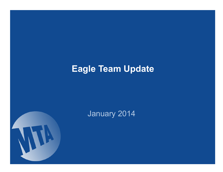# **Eagle Team Update**



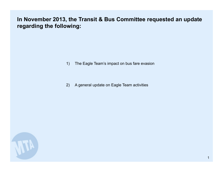## **In November 2013, the Transit & Bus Committee requested an update regarding the following:**

- 1) The Eagle Team's impact on bus fare evasion
- 2) A general update on Eagle Team activities

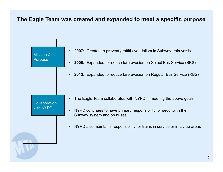#### **The Eagle Team was created and expanded to meet a specific purpose**

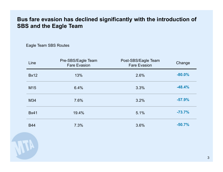## **Bus fare evasion has declined significantly with the introduction of SBS and the Eagle Team**

Eagle Team SBS Routes

| Line            | Pre-SBS/Eagle Team<br><b>Fare Evasion</b> | Post-SBS/Eagle Team<br><b>Fare Evasion</b> | Change   |
|-----------------|-------------------------------------------|--------------------------------------------|----------|
| <b>Bx12</b>     | 13%                                       | 2.6%                                       | $-80.0%$ |
| M <sub>15</sub> | 6.4%                                      | 3.3%                                       | $-48.4%$ |
| M34             | 7.6%                                      | 3.2%                                       | $-57.9%$ |
| <b>Bx41</b>     | 19.4%                                     | 5.1%                                       | $-73.7%$ |
| <b>B44</b>      | 7.3%                                      | 3.6%                                       | $-50.7%$ |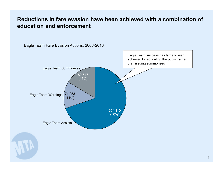#### **Reductions in fare evasion have been achieved with a combination of education and enforcement**

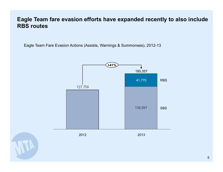#### **Eagle Team fare evasion efforts have expanded recently to also include RBS routes**

Eagle Team Fare Evasion Actions (Assists, Warnings & Summonses), 2012-13